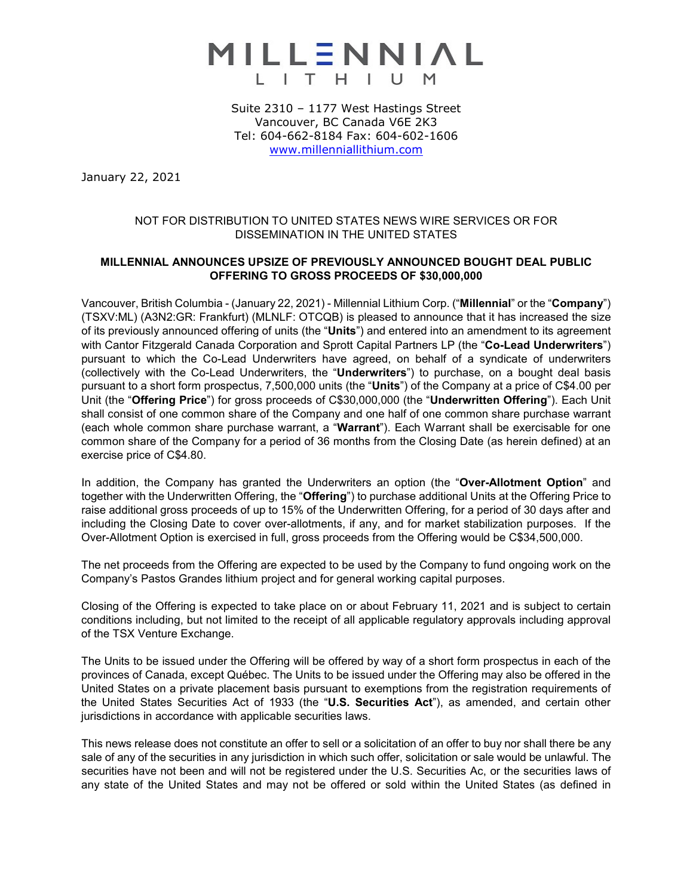

Suite 2310 – 1177 West Hastings Street Vancouver, BC Canada V6E 2K3 Tel: 604-662-8184 Fax: 604-602-1606 [www.millenniallithium.com](http://www.millenniallithium.com/)

January 22, 2021

## NOT FOR DISTRIBUTION TO UNITED STATES NEWS WIRE SERVICES OR FOR DISSEMINATION IN THE UNITED STATES

## **MILLENNIAL ANNOUNCES UPSIZE OF PREVIOUSLY ANNOUNCED BOUGHT DEAL PUBLIC OFFERING TO GROSS PROCEEDS OF \$30,000,000**

Vancouver, British Columbia - (January 22, 2021) - Millennial Lithium Corp. ("**Millennial**" or the "**Company**") (TSXV:ML) (A3N2:GR: Frankfurt) (MLNLF: OTCQB) is pleased to announce that it has increased the size of its previously announced offering of units (the "**Units**") and entered into an amendment to its agreement with Cantor Fitzgerald Canada Corporation and Sprott Capital Partners LP (the "**Co-Lead Underwriters**") pursuant to which the Co-Lead Underwriters have agreed, on behalf of a syndicate of underwriters (collectively with the Co-Lead Underwriters, the "**Underwriters**") to purchase, on a bought deal basis pursuant to a short form prospectus, 7,500,000 units (the "**Units**") of the Company at a price of C\$4.00 per Unit (the "**Offering Price**") for gross proceeds of C\$30,000,000 (the "**Underwritten Offering**"). Each Unit shall consist of one common share of the Company and one half of one common share purchase warrant (each whole common share purchase warrant, a "**Warrant**"). Each Warrant shall be exercisable for one common share of the Company for a period of 36 months from the Closing Date (as herein defined) at an exercise price of C\$4.80.

In addition, the Company has granted the Underwriters an option (the "**Over-Allotment Option**" and together with the Underwritten Offering, the "**Offering**") to purchase additional Units at the Offering Price to raise additional gross proceeds of up to 15% of the Underwritten Offering, for a period of 30 days after and including the Closing Date to cover over-allotments, if any, and for market stabilization purposes. If the Over-Allotment Option is exercised in full, gross proceeds from the Offering would be C\$34,500,000.

The net proceeds from the Offering are expected to be used by the Company to fund ongoing work on the Company's Pastos Grandes lithium project and for general working capital purposes.

Closing of the Offering is expected to take place on or about February 11, 2021 and is subject to certain conditions including, but not limited to the receipt of all applicable regulatory approvals including approval of the TSX Venture Exchange.

The Units to be issued under the Offering will be offered by way of a short form prospectus in each of the provinces of Canada, except Québec. The Units to be issued under the Offering may also be offered in the United States on a private placement basis pursuant to exemptions from the registration requirements of the United States Securities Act of 1933 (the "**U.S. Securities Act**"), as amended, and certain other jurisdictions in accordance with applicable securities laws.

This news release does not constitute an offer to sell or a solicitation of an offer to buy nor shall there be any sale of any of the securities in any jurisdiction in which such offer, solicitation or sale would be unlawful. The securities have not been and will not be registered under the U.S. Securities Ac, or the securities laws of any state of the United States and may not be offered or sold within the United States (as defined in